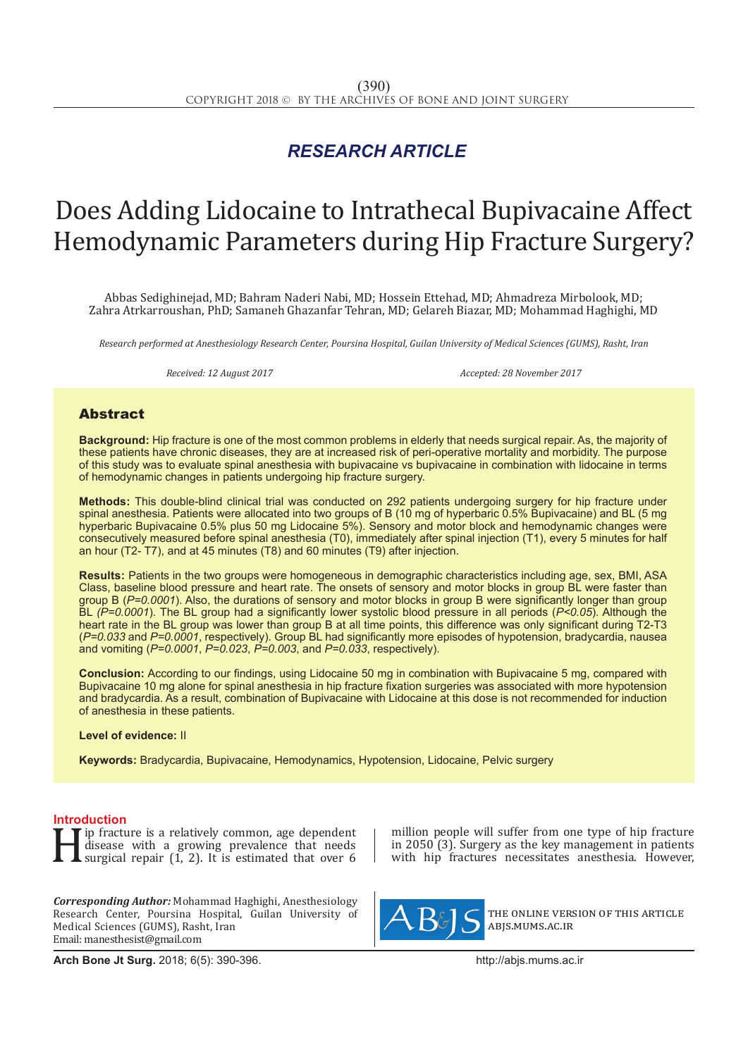## *RESEARCH ARTICLE*

# Does Adding Lidocaine to Intrathecal Bupivacaine Affect Hemodynamic Parameters during Hip Fracture Surgery?

Abbas Sedighinejad, MD; Bahram Naderi Nabi, MD; Hossein Ettehad, MD; Ahmadreza Mirbolook, MD; Zahra Atrkarroushan, PhD; Samaneh Ghazanfar Tehran, MD; Gelareh Biazar, MD; Mohammad Haghighi, MD

*Research performed at Anesthesiology Research Center, Poursina Hospital, Guilan University of Medical Sciences (GUMS), Rasht, Iran*

*Received: 12 August 2017 Accepted: 28 November 2017*

### Abstract

**Background:** Hip fracture is one of the most common problems in elderly that needs surgical repair. As, the majority of these patients have chronic diseases, they are at increased risk of peri-operative mortality and morbidity. The purpose of this study was to evaluate spinal anesthesia with bupivacaine vs bupivacaine in combination with lidocaine in terms of hemodynamic changes in patients undergoing hip fracture surgery.

**Methods:** This double-blind clinical trial was conducted on 292 patients undergoing surgery for hip fracture under spinal anesthesia. Patients were allocated into two groups of B (10 mg of hyperbaric 0.5% Bupivacaine) and BL (5 mg hyperbaric Bupivacaine 0.5% plus 50 mg Lidocaine 5%). Sensory and motor block and hemodynamic changes were consecutively measured before spinal anesthesia (T0), immediately after spinal injection (T1), every 5 minutes for half an hour (T2- T7), and at 45 minutes (T8) and 60 minutes (T9) after injection.

**Results:** Patients in the two groups were homogeneous in demographic characteristics including age, sex, BMI, ASA Class, baseline blood pressure and heart rate. The onsets of sensory and motor blocks in group BL were faster than group B (*P=0.0001*). Also, the durations of sensory and motor blocks in group B were significantly longer than group BL *(P=0.0001*). The BL group had a significantly lower systolic blood pressure in all periods (*P<0.05*). Although the heart rate in the BL group was lower than group B at all time points, this difference was only significant during T2-T3 (*P=0.033* and *P=0.0001*, respectively). Group BL had significantly more episodes of hypotension, bradycardia, nausea and vomiting (*P=0.0001*, *P=0.023*, *P=0.003*, and *P=0.033*, respectively).

**Conclusion:** According to our findings, using Lidocaine 50 mg in combination with Bupivacaine 5 mg, compared with Bupivacaine 10 mg alone for spinal anesthesia in hip fracture fixation surgeries was associated with more hypotension and bradycardia. As a result, combination of Bupivacaine with Lidocaine at this dose is not recommended for induction of anesthesia in these patients.

#### **Level of evidence:** II

**Keywords:** Bradycardia, Bupivacaine, Hemodynamics, Hypotension, Lidocaine, Pelvic surgery

**Introduction**<br>**T T** ip fracture is a relatively common, age dependent If the fracture is a relatively common, age dependent<br>disease with a growing prevalence that needs<br>surgical repair (1, 2). It is estimated that over 6 disease with a growing prevalence that needs surgical repair (1, 2). It is estimated that over 6

*Corresponding Author:* Mohammad Haghighi, Anesthesiology Research Center, Poursina Hospital, Guilan University of Medical Sciences (GUMS), Rasht, Iran Email: manesthesist@gmail.com

**Arch Bone Jt Surg.** 2018; 6(5): 390-396.http://abjs.mums.ac.ir

million people will suffer from one type of hip fracture in 2050 (3). Surgery as the key management in patients with hip fractures necessitates anesthesia. However,



the online version of this article abjs.mums.ac.ir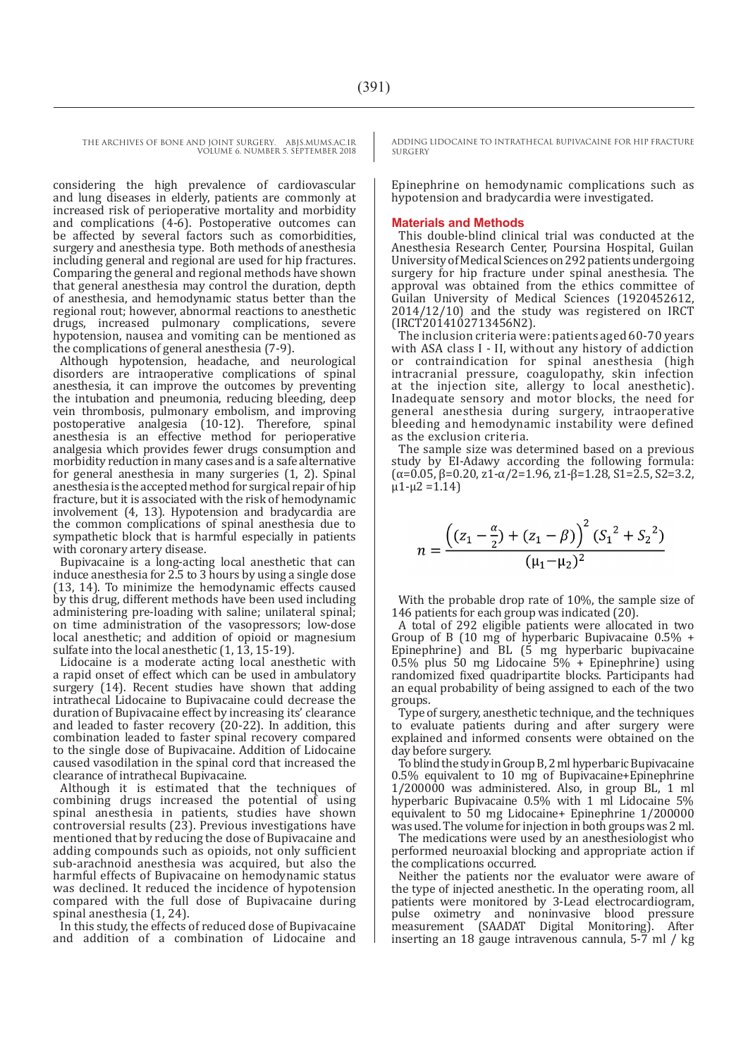considering the high prevalence of cardiovascular and lung diseases in elderly, patients are commonly at increased risk of perioperative mortality and morbidity and complications (4-6). Postoperative outcomes can be affected by several factors such as comorbidities, surgery and anesthesia type. Both methods of anesthesia including general and regional are used for hip fractures. Comparing the general and regional methods have shown that general anesthesia may control the duration, depth of anesthesia, and hemodynamic status better than the regional rout; however, abnormal reactions to anesthetic drugs, increased pulmonary complications, severe hypotension, nausea and vomiting can be mentioned as the complications of general anesthesia (7-9).

Although hypotension, headache, and neurological disorders are intraoperative complications of spinal anesthesia, it can improve the outcomes by preventing the intubation and pneumonia, reducing bleeding, deep vein thrombosis, pulmonary embolism, and improving postoperative analgesia (10-12). Therefore, spinal anesthesia is an effective method for perioperative analgesia which provides fewer drugs consumption and morbidity reduction in many cases and is a safe alternative for general anesthesia in many surgeries (1, 2). Spinal anesthesia is the accepted method for surgical repair of hip fracture, but it is associated with the risk of hemodynamic involvement (4, 13). Hypotension and bradycardia are the common complications of spinal anesthesia due to sympathetic block that is harmful especially in patients with coronary artery disease.

Bupivacaine is a long-acting local anesthetic that can induce anesthesia for 2.5 to 3 hours by using a single dose (13, 14). To minimize the hemodynamic effects caused by this drug, different methods have been used including administering pre-loading with saline; unilateral spinal; on time administration of the vasopressors; low-dose local anesthetic; and addition of opioid or magnesium sulfate into the local anesthetic (1, 13, 15-19).

Lidocaine is a moderate acting local anesthetic with a rapid onset of effect which can be used in ambulatory surgery (14). Recent studies have shown that adding intrathecal Lidocaine to Bupivacaine could decrease the duration of Bupivacaine effect by increasing its' clearance and leaded to faster recovery (20-22). In addition, this combination leaded to faster spinal recovery compared to the single dose of Bupivacaine. Addition of Lidocaine caused vasodilation in the spinal cord that increased the clearance of intrathecal Bupivacaine.

Although it is estimated that the techniques of combining drugs increased the potential of using spinal anesthesia in patients, studies have shown controversial results (23). Previous investigations have mentioned that by reducing the dose of Bupivacaine and adding compounds such as opioids, not only sufficient sub-arachnoid anesthesia was acquired, but also the harmful effects of Bupivacaine on hemodynamic status was declined. It reduced the incidence of hypotension compared with the full dose of Bupivacaine during spinal anesthesia (1, 24).

In this study, the effects of reduced dose of Bupivacaine and addition of a combination of Lidocaine and ADDING LIDOCAINE TO INTRATHECAL BUPIVACAINE FOR HIP FRACTURE SURGERY

Epinephrine on hemodynamic complications such as hypotension and bradycardia were investigated.

#### **Materials and Methods**

This double-blind clinical trial was conducted at the Anesthesia Research Center, Poursina Hospital, Guilan University of Medical Sciences on 292 patients undergoing surgery for hip fracture under spinal anesthesia. The approval was obtained from the ethics committee of Guilan University of Medical Sciences (1920452612, 2014/12/10) and the study was registered on IRCT (IRCT2014102713456N2).

The inclusion criteria were: patients aged 60-70 years with ASA class I - II, without any history of addiction<br>or contraindication for spinal anesthesia (high or contraindication for spinal anesthesia (high intracranial pressure, coagulopathy, skin infection at the injection site, allergy to local anesthetic). Inadequate sensory and motor blocks, the need for general anesthesia during surgery, intraoperative bleeding and hemodynamic instability were defined as the exclusion criteria.

The sample size was determined based on a previous study by EI-Adawy according the following formula:  $(\alpha=0.05, \beta=0.20, \alpha=1-\alpha/2=1.96, \alpha=1-\beta=1.28, \beta=2.5, \beta=3.2,$  $\mu$ 1- $\mu$ 2 = 1.14)

$$
n = \frac{\left( (z_1 - \frac{\alpha}{2}) + (z_1 - \beta) \right)^2 (S_1^2 + S_2^2)}{(\mu_1 - \mu_2)^2}
$$

With the probable drop rate of 10%, the sample size of 146 patients for each group was indicated  $(20)$ .

A total of 292 eligible patients were allocated in two Group of B (10 mg of hyperbaric Bupivacaine 0.5% + Epinephrine) and BL (5 mg hyperbaric bupivacaine  $0.5\%$  plus 50 mg Lidocaine  $5\%$  + Epinephrine) using randomized fixed quadripartite blocks. Participants had an equal probability of being assigned to each of the two groups.

Type of surgery, anesthetic technique, and the techniques to evaluate patients during and after surgery were explained and informed consents were obtained on the day before surgery.

To blind the study in Group B, 2 ml hyperbaric Bupivacaine 0.5% equivalent to 10 mg of Bupivacaine+Epinephrine 1/200000 was administered. Also, in group BL, 1 ml hyperbaric Bupivacaine 0.5% with 1 ml Lidocaine 5% equivalent to 50 mg Lidocaine+ Epinephrine 1/200000 was used. The volume for injection in both groups was 2 ml.

The medications were used by an anesthesiologist who performed neuroaxial blocking and appropriate action if the complications occurred.

Neither the patients nor the evaluator were aware of the type of injected anesthetic. In the operating room, all patients were monitored by 3-Lead electrocardiogram, pulse oximetry and noninvasive blood pressure measurement (SAADAT Digital Monitoring). After inserting an 18 gauge intravenous cannula, 5-7 ml / kg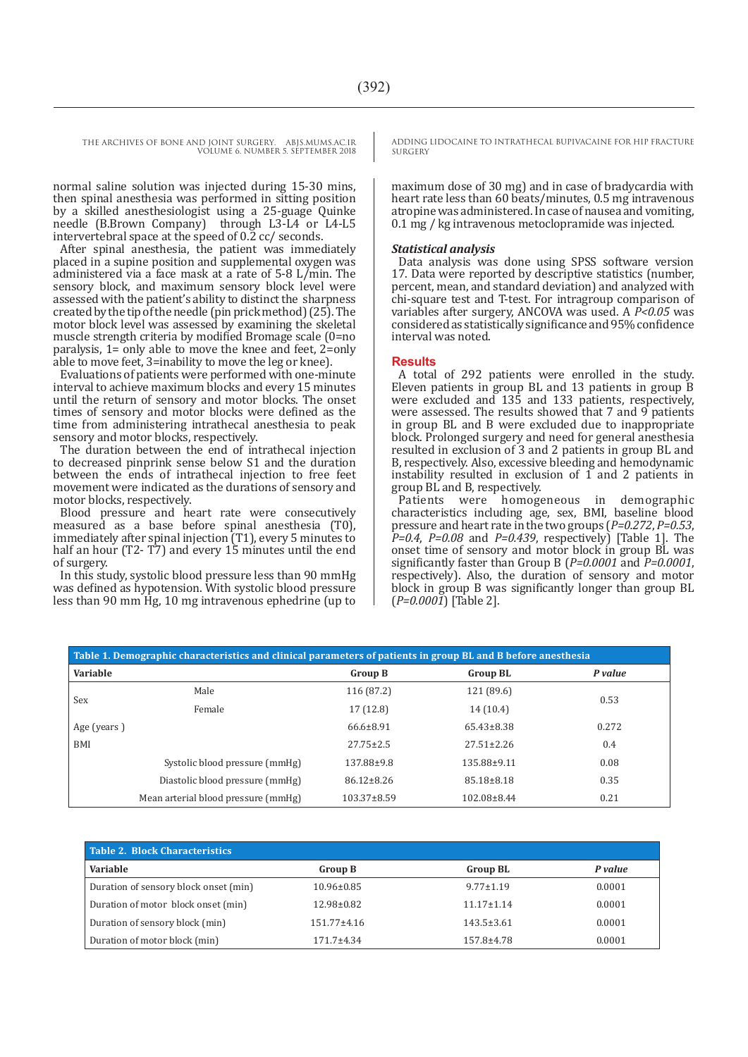> normal saline solution was injected during 15-30 mins, then spinal anesthesia was performed in sitting position by a skilled anesthesiologist using a 25-guage Quinke needle (B.Brown Company) through L3-L4 or L4-L5 intervertebral space at the speed of 0.2 cc/ seconds.

> After spinal anesthesia, the patient was immediately placed in a supine position and supplemental oxygen was administered via a face mask at a rate of 5-8 L/min. The sensory block, and maximum sensory block level were assessed with the patient's ability to distinct the sharpness created by the tip of the needle (pin prick method) (25). The motor block level was assessed by examining the skeletal muscle strength criteria by modified Bromage scale (0=no paralysis, 1= only able to move the knee and feet, 2=only able to move feet, 3=inability to move the leg or knee).

> Evaluations of patients were performed with one-minute interval to achieve maximum blocks and every 15 minutes until the return of sensory and motor blocks. The onset times of sensory and motor blocks were defined as the time from administering intrathecal anesthesia to peak sensory and motor blocks, respectively.

> The duration between the end of intrathecal injection to decreased pinprink sense below S1 and the duration between the ends of intrathecal injection to free feet movement were indicated as the durations of sensory and motor blocks, respectively.

> Blood pressure and heart rate were consecutively measured as a base before spinal anesthesia (T0), immediately after spinal injection (T1), every 5 minutes to half an hour (T2- T7) and every 15 minutes until the end of surgery.

> In this study, systolic blood pressure less than 90 mmHg was defined as hypotension. With systolic blood pressure less than 90 mm Hg, 10 mg intravenous ephedrine (up to

ADDING LIDOCAINE TO INTRATHECAL BUPIVACAINE FOR HIP FRACTURE SURGERY

maximum dose of 30 mg) and in case of bradycardia with heart rate less than 60 beats/minutes, 0.5 mg intravenous atropine was administered. In case of nausea and vomiting, 0.1 mg / kg intravenous metoclopramide was injected.

#### *Statistical analysis*

Data analysis was done using SPSS software version 17. Data were reported by descriptive statistics (number, percent, mean, and standard deviation) and analyzed with chi-square test and T-test. For intragroup comparison of variables after surgery, ANCOVA was used. A *P<0.05* was considered as statistically significance and 95% confidence interval was noted.

#### **Results**

A total of 292 patients were enrolled in the study. Eleven patients in group BL and 13 patients in group B were excluded and 135 and 133 patients, respectively, were assessed. The results showed that 7 and 9 patients in group BL and B were excluded due to inappropriate block. Prolonged surgery and need for general anesthesia resulted in exclusion of 3 and 2 patients in group BL and B, respectively. Also, excessive bleeding and hemodynamic instability resulted in exclusion of  $\overline{1}$  and  $\overline{2}$  patients in group BL and B, respectively.

Patients were homogeneous in demographic characteristics including age, sex, BMI, baseline blood pressure and heart rate in the two groups (*P=0.272*, *P=0.53*, *P=0.4*, *P=0.08* and *P=0.439*, respectively) [Table 1]. The onset time of sensory and motor block in group BL was significantly faster than Group B ( $P=0.0001$  and  $P=0.0001$ , respectively). Also, the duration of sensory and motor block in group B was significantly longer than group BL (*P=0.0001*) [Table 2].

| Table 1. Demographic characteristics and clinical parameters of patients in group BL and B before anesthesia |                                     |                   |                  |         |
|--------------------------------------------------------------------------------------------------------------|-------------------------------------|-------------------|------------------|---------|
| Variable                                                                                                     |                                     | <b>Group B</b>    | <b>Group BL</b>  | P value |
| Sex                                                                                                          | Male                                | 116 (87.2)        | 121 (89.6)       | 0.53    |
|                                                                                                              | Female                              | 17 (12.8)         | 14 (10.4)        |         |
| Age (years)                                                                                                  |                                     | $66.6 \pm 8.91$   | $65.43\pm8.38$   | 0.272   |
| <b>BMI</b>                                                                                                   |                                     | $27.75 \pm 2.5$   | $27.51 \pm 2.26$ | 0.4     |
|                                                                                                              | Systolic blood pressure (mmHg)      | 137.88±9.8        | 135.88±9.11      | 0.08    |
|                                                                                                              | Diastolic blood pressure (mmHg)     | $86.12 \pm 8.26$  | $85.18 \pm 8.18$ | 0.35    |
|                                                                                                              | Mean arterial blood pressure (mmHg) | $103.37 \pm 8.59$ | 102.08±8.44      | 0.21    |

| Table 2. Block Characteristics        |                  |                  |         |  |
|---------------------------------------|------------------|------------------|---------|--|
| Variable                              | <b>Group B</b>   | <b>Group BL</b>  | P value |  |
| Duration of sensory block onset (min) | $10.96 \pm 0.85$ | $9.77 \pm 1.19$  | 0.0001  |  |
| Duration of motor block onset (min)   | $12.98 \pm 0.82$ | $11.17 \pm 1.14$ | 0.0001  |  |
| Duration of sensory block (min)       | $151.77 + 4.16$  | $143.5 \pm 3.61$ | 0.0001  |  |
| Duration of motor block (min)         | $171.7 + 4.34$   | $157.8 + 4.78$   | 0.0001  |  |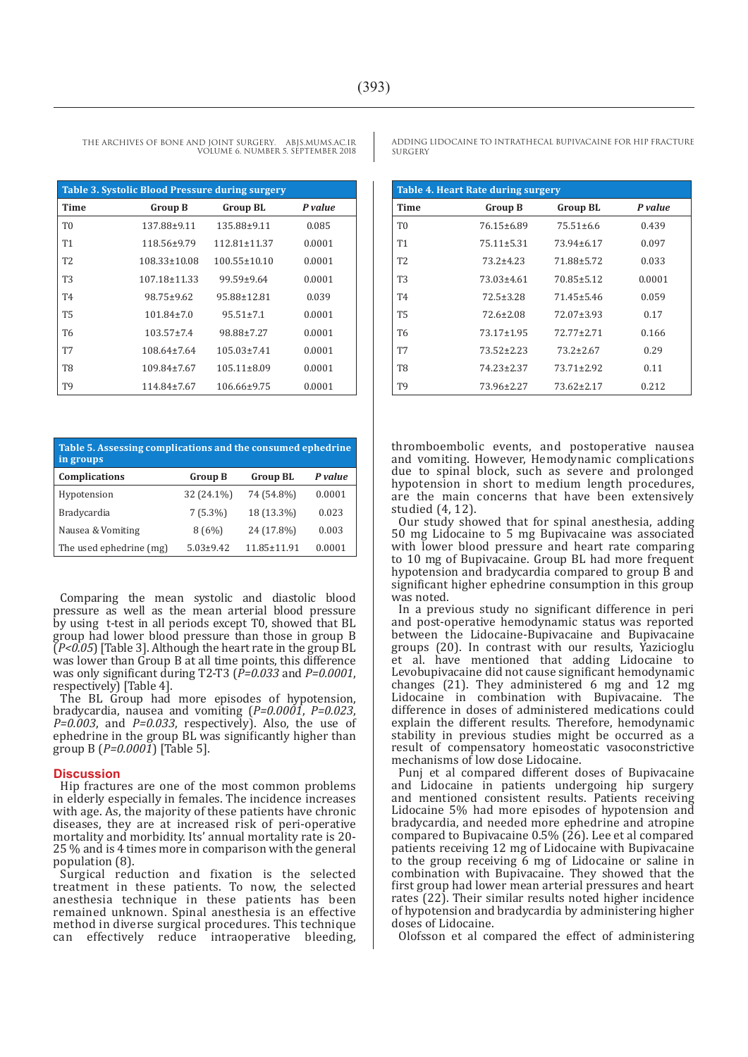| <b>Table 3. Systolic Blood Pressure during surgery</b> |                    |                    |         |  |
|--------------------------------------------------------|--------------------|--------------------|---------|--|
| <b>Time</b>                                            | <b>Group B</b>     | <b>Group BL</b>    | P value |  |
| T <sub>0</sub>                                         | 137.88±9.11        | 135.88±9.11        | 0.085   |  |
| <b>T1</b>                                              | 118.56±9.79        | $112.81 \pm 11.37$ | 0.0001  |  |
| T <sub>2</sub>                                         | $108.33 \pm 10.08$ | $100.55 \pm 10.10$ | 0.0001  |  |
| T <sub>3</sub>                                         | $107.18 \pm 11.33$ | $99.59 \pm 9.64$   | 0.0001  |  |
| T <sub>4</sub>                                         | 98.75±9.62         | 95.88±12.81        | 0.039   |  |
| <b>T5</b>                                              | $101.84 \pm 7.0$   | $95.51 \pm 7.1$    | 0.0001  |  |
| T6                                                     | $103.57 \pm 7.4$   | 98.88±7.27         | 0.0001  |  |
| T7                                                     | $108.64 \pm 7.64$  | $105.03 \pm 7.41$  | 0.0001  |  |
| T8                                                     | 109.84±7.67        | $105.11 \pm 8.09$  | 0.0001  |  |
| Т9                                                     | 114.84±7.67        | $106.66 \pm 9.75$  | 0.0001  |  |

THE ARCHIVES OF BONE AND JOINT SURGERY. ABJS.MUMS.AC.IR

VOLUME 6. NUMBER 5. SEPTEMBER 2018

| Table 5. Assessing complications and the consumed ephedrine<br>in groups |                |                   |         |
|--------------------------------------------------------------------------|----------------|-------------------|---------|
| Complications                                                            | <b>Group B</b> | <b>Group BL</b>   | P value |
| Hypotension                                                              | 32 (24.1%)     | 74 (54.8%)        | 0.0001  |
| Bradycardia                                                              | $7(5.3\%)$     | 18 (13.3%)        | 0.023   |
| Nausea & Vomiting                                                        | 8(6%)          | 24 (17.8%)        | 0.003   |
| The used ephedrine (mg)                                                  | $5.03 + 9.42$  | $11.85 \pm 11.91$ | 0.0001  |

Comparing the mean systolic and diastolic blood pressure as well as the mean arterial blood pressure by using t-test in all periods except T0, showed that BL group had lower blood pressure than those in group B  $(P< 0.05)$  [Table 3]. Although the heart rate in the group BL was lower than Group B at all time points, this difference was only significant during T2-T3 (*P=0.033* and *P=0.0001*, respectively) [Table 4].

The BL Group had more episodes of hypotension, bradycardia, nausea and vomiting (*P=0.0001*, *P=0.023*, *P=0.003*, and *P=0.033*, respectively). Also, the use of ephedrine in the group BL was significantly higher than group B (*P=0.0001*) [Table 5].

#### **Discussion**

Hip fractures are one of the most common problems in elderly especially in females. The incidence increases with age. As, the majority of these patients have chronic diseases, they are at increased risk of peri-operative mortality and morbidity. Its' annual mortality rate is 20- 25 % and is 4 times more in comparison with the general population (8).

Surgical reduction and fixation is the selected treatment in these patients. To now, the selected anesthesia technique in these patients has been remained unknown. Spinal anesthesia is an effective method in diverse surgical procedures. This technique can effectively reduce intraoperative bleeding. effectively reduce intraoperative bleeding, ADDING LIDOCAINE TO INTRATHECAL BUPIVACAINE FOR HIP FRACTURE **SURGERY** 

| Table 4. Heart Rate during surgery |                  |                  |         |
|------------------------------------|------------------|------------------|---------|
| Time                               | <b>Group B</b>   | <b>Group BL</b>  | P value |
| T <sub>0</sub>                     | 76.15±6.89       | $75.51 \pm 6.6$  | 0.439   |
| T1                                 | $75.11 \pm 5.31$ | 73.94±6.17       | 0.097   |
| T <sub>2</sub>                     | $73.2 + 4.23$    | 71.88±5.72       | 0.033   |
| T3                                 | 73.03±4.61       | 70.85±5.12       | 0.0001  |
| T <sub>4</sub>                     | $72.5 \pm 3.28$  | 71.45±5.46       | 0.059   |
| <b>T5</b>                          | $72.6 \pm 2.08$  | 72.07±3.93       | 0.17    |
| T6                                 | $73.17 \pm 1.95$ | $72.77 + 2.71$   | 0.166   |
| T7                                 | $73.52 \pm 2.23$ | $73.2 \pm 2.67$  | 0.29    |
| T8                                 | 74.23±2.37       | $73.71 \pm 2.92$ | 0.11    |
| Т9                                 | 73.96±2.27       | $73.62 \pm 2.17$ | 0.212   |

thromboembolic events, and postoperative nausea and vomiting. However, Hemodynamic complications due to spinal block, such as severe and prolonged hypotension in short to medium length procedures, are the main concerns that have been extensively studied (4, 12).

Our study showed that for spinal anesthesia, adding 50 mg Lidocaine to 5 mg Bupivacaine was associated with lower blood pressure and heart rate comparing to 10 mg of Bupivacaine. Group BL had more frequent hypotension and bradycardia compared to group B and significant higher ephedrine consumption in this group was noted.

In a previous study no significant difference in peri and post-operative hemodynamic status was reported between the Lidocaine-Bupivacaine and Bupivacaine groups (20). In contrast with our results, Yazicioglu et al. have mentioned that adding Lidocaine to Levobupivacaine did not cause significant hemodynamic changes (21). They administered 6 mg and 12 mg Lidocaine in combination with Bupivacaine. The difference in doses of administered medications could explain the different results. Therefore, hemodynamic stability in previous studies might be occurred as a result of compensatory homeostatic vasoconstrictive mechanisms of low dose Lidocaine.

Punj et al compared different doses of Bupivacaine and Lidocaine in patients undergoing hip surgery and mentioned consistent results. Patients receiving Lidocaine 5% had more episodes of hypotension and bradycardia, and needed more ephedrine and atropine compared to Bupivacaine  $0.5\%$  (26). Lee et al compared patients receiving 12 mg of Lidocaine with Bupivacaine to the group receiving 6 mg of Lidocaine or saline in combination with Bupivacaine. They showed that the first group had lower mean arterial pressures and heart rates (22). Their similar results noted higher incidence of hypotension and bradycardia by administering higher doses of Lidocaine.

Olofsson et al compared the effect of administering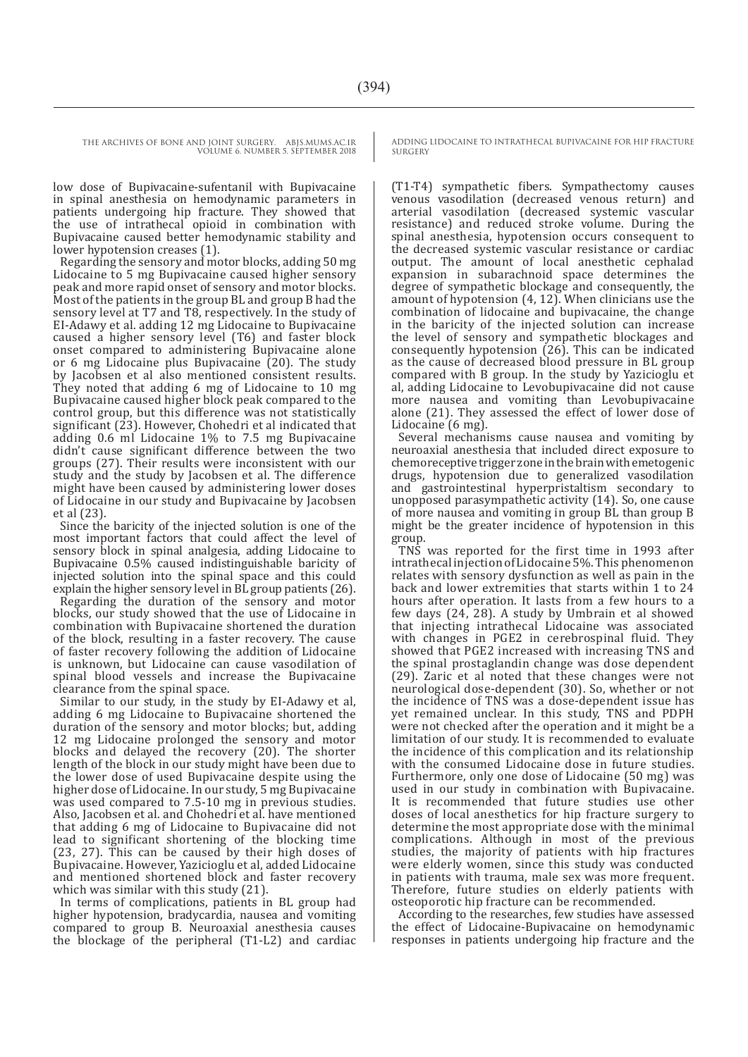low dose of Bupivacaine-sufentanil with Bupivacaine in spinal anesthesia on hemodynamic parameters in patients undergoing hip fracture. They showed that the use of intrathecal opioid in combination with Bupivacaine caused better hemodynamic stability and lower hypotension creases (1).

Regarding the sensory and motor blocks, adding 50 mg Lidocaine to 5 mg Bupivacaine caused higher sensory peak and more rapid onset of sensory and motor blocks. Most of the patients in the group BL and group B had the sensory level at T7 and T8, respectively. In the study of EI-Adawy et al. adding 12 mg Lidocaine to Bupivacaine caused a higher sensory level (T6) and faster block onset compared to administering Bupivacaine alone or 6 mg Lidocaine plus Bupivacaine (20). The study by Jacobsen et al also mentioned consistent results. They noted that adding 6 mg of Lidocaine to 10 mg Bupivacaine caused higher block peak compared to the control group, but this difference was not statistically significant (23). However, Chohedri et al indicated that adding 0.6 ml Lidocaine 1% to 7.5 mg Bupivacaine didn't cause significant difference between the two groups (27). Their results were inconsistent with our study and the study by Jacobsen et al. The difference might have been caused by administering lower doses of Lidocaine in our study and Bupivacaine by Jacobsen et al (23).

Since the baricity of the injected solution is one of the most important factors that could affect the level of sensory block in spinal analgesia, adding Lidocaine to Bupivacaine 0.5% caused indistinguishable baricity of injected solution into the spinal space and this could explain the higher sensory level in BL group patients (26).

Regarding the duration of the sensory and motor blocks, our study showed that the use of Lidocaine in combination with Bupivacaine shortened the duration of the block, resulting in a faster recovery. The cause of faster recovery following the addition of Lidocaine is unknown, but Lidocaine can cause vasodilation of spinal blood vessels and increase the Bupivacaine clearance from the spinal space.

Similar to our study, in the study by EI-Adawy et al, adding 6 mg Lidocaine to Bupivacaine shortened the duration of the sensory and motor blocks; but, adding 12 mg Lidocaine prolonged the sensory and motor blocks and delayed the recovery (20). The shorter length of the block in our study might have been due to the lower dose of used Bupivacaine despite using the higher dose of Lidocaine. In our study, 5 mg Bupivacaine was used compared to 7.5-10 mg in previous studies. Also, Jacobsen et al. and Chohedri et al. have mentioned that adding 6 mg of Lidocaine to Bupivacaine did not lead to significant shortening of the blocking time (23, 27). This can be caused by their high doses of Bupivacaine. However, Yazicioglu et al, added Lidocaine and mentioned shortened block and faster recovery which was similar with this study  $(21)$ .

In terms of complications, patients in BL group had higher hypotension, bradycardia, nausea and vomiting compared to group B. Neuroaxial anesthesia causes the blockage of the peripheral (T1-L2) and cardiac ADDING LIDOCAINE TO INTRATHECAL BUPIVACAINE FOR HIP FRACTURE SURGERY

(T1-T4) sympathetic fibers. Sympathectomy causes venous vasodilation (decreased venous return) and arterial vasodilation (decreased systemic vascular resistance) and reduced stroke volume. During the spinal anesthesia, hypotension occurs consequent to the decreased systemic vascular resistance or cardiac output. The amount of local anesthetic cephalad expansion in subarachnoid space determines the degree of sympathetic blockage and consequently, the amount of hypotension (4, 12). When clinicians use the combination of lidocaine and bupivacaine, the change in the baricity of the injected solution can increase the level of sensory and sympathetic blockages and consequently hypotension (26). This can be indicated as the cause of decreased blood pressure in BL group compared with B group. In the study by Yazicioglu et al, adding Lidocaine to Levobupivacaine did not cause more nausea and vomiting than Levobupivacaine alone (21). They assessed the effect of lower dose of Lidocaine (6 mg).

Several mechanisms cause nausea and vomiting by neuroaxial anesthesia that included direct exposure to chemoreceptive trigger zone in the brain with emetogenic drugs, hypotension due to generalized vasodilation and gastrointestinal hyperpristaltism secondary to unopposed parasympathetic activity (14). So, one cause of more nausea and vomiting in group BL than group B might be the greater incidence of hypotension in this group.

TNS was reported for the first time in 1993 after intrathecal injection of Lidocaine 5%. This phenomenon relates with sensory dysfunction as well as pain in the back and lower extremities that starts within 1 to 24 hours after operation. It lasts from a few hours to a few days (24, 28). A study by Umbrain et al showed that injecting intrathecal Lidocaine was associated with changes in PGE2 in cerebrospinal fluid. They showed that PGE2 increased with increasing TNS and the spinal prostaglandin change was dose dependent (29). Zaric et al noted that these changes were not neurological dose-dependent (30). So, whether or not the incidence of TNS was a dose-dependent issue has yet remained unclear. In this study, TNS and PDPH were not checked after the operation and it might be a limitation of our study. It is recommended to evaluate the incidence of this complication and its relationship with the consumed Lidocaine dose in future studies. Furthermore, only one dose of Lidocaine (50 mg) was used in our study in combination with Bupivacaine. It is recommended that future studies use other doses of local anesthetics for hip fracture surgery to determine the most appropriate dose with the minimal complications. Although in most of the previous studies, the majority of patients with hip fractures were elderly women, since this study was conducted in patients with trauma, male sex was more frequent. Therefore, future studies on elderly patients with osteoporotic hip fracture can be recommended.

According to the researches, few studies have assessed the effect of Lidocaine-Bupivacaine on hemodynamic responses in patients undergoing hip fracture and the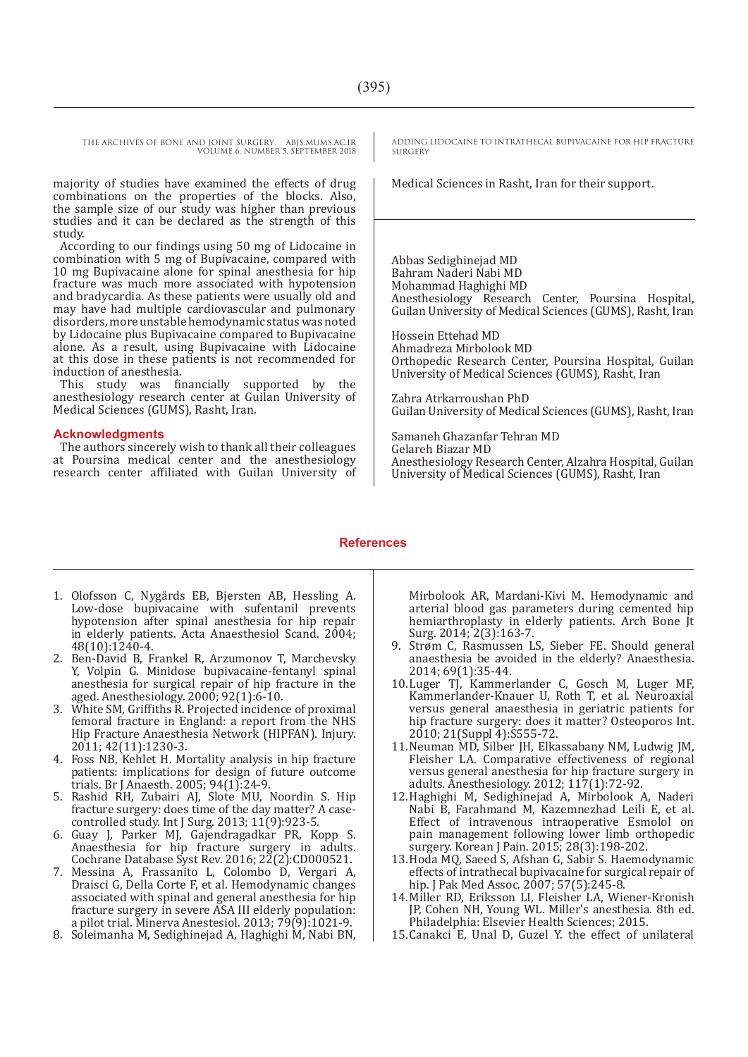majority of studies have examined the effects of drug combinations on the properties of the blocks. Also, the sample size of our study was higher than previous studies and it can be declared as the strength of this study.

According to our findings using 50 mg of Lidocaine in combination with 5 mg of Bupivacaine, compared with 10 mg Bupivacaine alone for spinal anesthesia for hip fracture was much more associated with hypotension and bradycardia. As these patients were usually old and may have had multiple cardiovascular and pulmonary disorders, more unstable hemodynamic status was noted by Lidocaine plus Bupivacaine compared to Bupivacaine alone. As a result, using Bupivacaine with Lidocaine at this dose in these patients is not recommended for induction of anesthesia.

This study was financially supported by the anesthesiology research center at Guilan University of Medical Sciences (GUMS), Rasht, Iran.

#### **Acknowledgments**

The authors sincerely wish to thank all their colleagues at Poursina medical center and the anesthesiology research center affiliated with Guilan University of ADDING LIDOCAINE TO INTRATHECAL BUPIVACAINE FOR HIP FRACTURE SURGERY

Medical Sciences in Rasht, Iran for their support.

Abbas Sedighinejad MD Bahram Naderi Nabi MD Mohammad Haghighi MD Anesthesiology Research Center, Poursina Hospital, Guilan University of Medical Sciences (GUMS), Rasht, Iran

Hossein Ettehad MD Ahmadreza Mirbolook MD Orthopedic Research Center, Poursina Hospital, Guilan University of Medical Sciences (GUMS), Rasht, Iran

Zahra Atrkarroushan PhD Guilan University of Medical Sciences (GUMS), Rasht, Iran

Samaneh Ghazanfar Tehran MD Gelareh Biazar MD Anesthesiology Research Center, Alzahra Hospital, Guilan University of Medical Sciences (GUMS), Rasht, Iran

#### **References**

- 1. Olofsson C, Nygårds EB, Bjersten AB, Hessling A. Low-dose bupivacaine with sufentanil prevents hypotension after spinal anesthesia for hip repair in elderly patients. Acta Anaesthesiol Scand. 2004; 48(10):1240-4.
- 2. Ben-David B, Frankel R, Arzumonov T, Marchevsky Y, Volpin G. Minidose bupivacaine-fentanyl spinal anesthesia for surgical repair of hip fracture in the aged. Anesthesiology. 2000; 92(1):6-10.
- 3. White SM, Griffiths R. Projected incidence of proximal femoral fracture in England: a report from the NHS Hip Fracture Anaesthesia Network (HIPFAN). Injury. 2011; 42(11):1230-3.
- 4. Foss NB, Kehlet H. Mortality analysis in hip fracture patients: implications for design of future outcome trials. Br J Anaesth. 2005; 94(1):24-9.
- 5. Rashid RH, Zubairi AJ, Slote MU, Noordin S. Hip fracture surgery: does time of the day matter? A casecontrolled study. Int J Surg. 2013; 11(9):923-5.
- 6. Guay J, Parker MJ, Gajendragadkar PR, Kopp S. Anaesthesia for hip fracture surgery in adults. Cochrane Database Syst Rev. 2016; 22(2):CD000521.
- 7. Messina A, Frassanito L, Colombo D, Vergari A, Draisci G, Della Corte F, et al. Hemodynamic changes associated with spinal and general anesthesia for hip fracture surgery in severe ASA III elderly population: a pilot trial. Minerva Anestesiol. 2013; 79(9):1021-9.
- 8. Soleimanha M, Sedighinejad A, Haghighi M, Nabi BN,

Mirbolook AR, Mardani-Kivi M. Hemodynamic and arterial blood gas parameters during cemented hip hemiarthroplasty in elderly patients. Arch Bone Jt Surg. 2014; 2(3):163-7.

- 9. Strøm C, Rasmussen LS, Sieber FE. Should general anaesthesia be avoided in the elderly? Anaesthesia. 2014; 69(1):35-44.
- 10.Luger TJ, Kammerlander C, Gosch M, Luger MF, Kammerlander-Knauer U, Roth T, et al. Neuroaxial versus general anaesthesia in geriatric patients for hip fracture surgery: does it matter? Osteoporos Int. 2010; 21(Suppl 4):S555-72.
- 11.Neuman MD, Silber JH, Elkassabany NM, Ludwig JM, Fleisher LA. Comparative effectiveness of regional versus general anesthesia for hip fracture surgery in adults. Anesthesiology. 2012; 117(1):72-92.
- 12.Haghighi M, Sedighinejad A, Mirbolook A, Naderi Nabi B, Farahmand M, Kazemnezhad Leili E, et al. Effect of intravenous intraoperative Esmolol on pain management following lower limb orthopedic surgery. Korean J Pain. 2015; 28(3):198-202.
- 13.Hoda MQ, Saeed S, Afshan G, Sabir S. Haemodynamic effects of intrathecal bupivacaine for surgical repair of hip. J Pak Med Assoc. 2007; 57(5):245-8.
- 14.Miller RD, Eriksson LI, Fleisher LA, Wiener-Kronish JP, Cohen NH, Young WL. Miller's anesthesia. 8th ed. Philadelphia: Elsevier Health Sciences; 2015.
- 15.Canakci E, Unal D, Guzel Y. the effect of unilateral